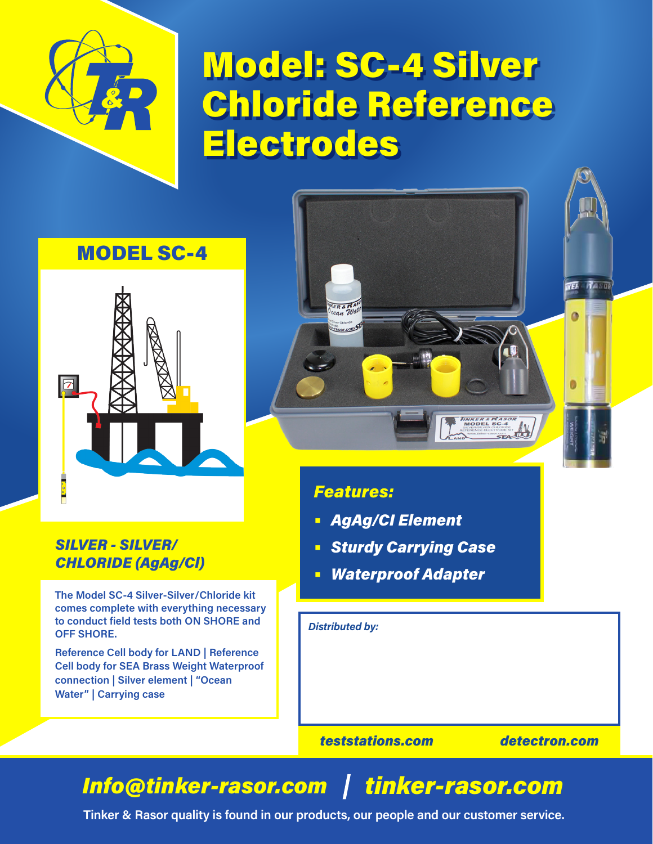

# Model: SC-4 Silver Chloride Reference Electrodes

### MODEL SC-4



### *SILVER - SILVER/ CHLORIDE (AgAg/Cl)*

**The Model SC-4 Silver-Silver/Chloride kit comes complete with everything necessary to conduct field tests both ON SHORE and OFF SHORE.**

**Reference Cell body for LAND | Reference Cell body for SEA Brass Weight Waterproof connection | Silver element | "Ocean Water" | Carrying case**

### *Features:*

ER & RA

- **•** *AgAg/CI Element*
- **•** *Sturdy Carrying Case*

**IINKER & NASO**<br>MODEL SC-4

**•** *Waterproof Adapter*

*Distributed by:*

*teststations.com detectron.com*

**WEA** 

Hason

## *Info@tinker-rasor.com tinker-rasor.com*

**Tinker & Rasor quality is found in our products, our people and our customer service.**